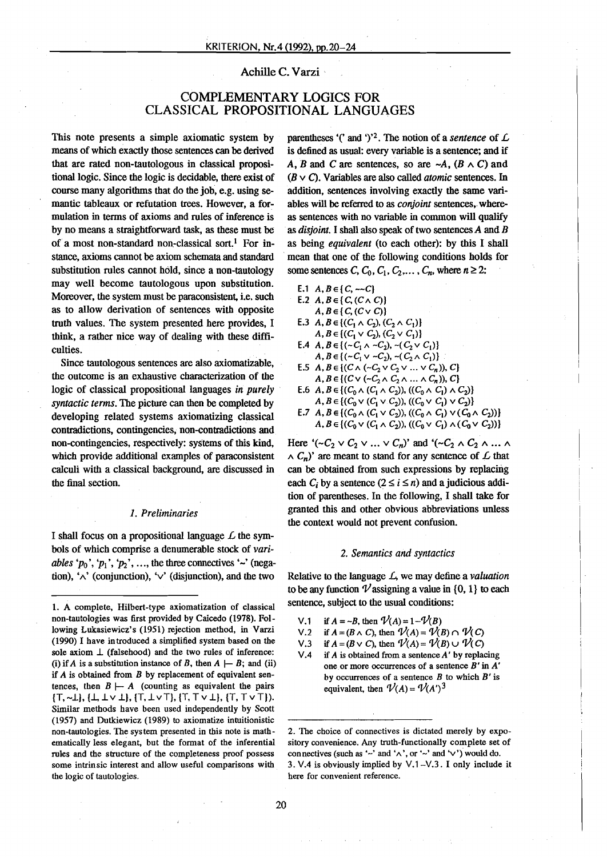# Achille C. Varzi '

# COMPLEMENTARY LOGICS FOR CLASSICAL PROPOSITIONAL LANGUAGES

This note presents a simple axiomatic system by means of which exactly those sentences can be derived that are rated non-tautologous in classical propositional logic. Since the logic is decidable, there exist of course many algorithms that do the job, e.g. using semantic tableaux or refutation trees. However, a formulation in terms of axioms and rules of inference is by no means a straightforward task, as these must be of a most non-standard non-classical sort.' For instance, axioms cannot be axiom schemata and standard substitution mies cannot hold, since a non-tautology may weIl become tautologous upon substitution. Moreover, the system must be paraconsistent, i.e. such as to allow derivation of sentences with opposite truth values. The system presented here provides, I think, a rather nice way of dealing with these difficulties.

Since tautologous sentences are also axiomatizable, the outcome is an exhaustive characterization of the logic of classical propositional languages *in purely syntactic terms.* The picture can then be completed by developing related systems axiomatizing classical contradictions, contingencies, non-contradictions and non-contingencies, respectively: systems of this kind, which provide additional examples of paraconsistent calculi with a classical background, are discussed in the final section.

### *1. Preliminaries*

I shall focus on a propositional language  $\mathcal L$  the symbols of which comprise a denumerable stock of *variables* ' $p_0$ ', ' $p_1$ ', ' $p_2$ ', ..., the three connectives '~' (negation), ' $\land$ ' (conjunction), ' $\lor$ ' (disjunction), and the two parentheses '(' and ')'<sup>2</sup>. The notion of a *sentence* of  $\mathcal{L}$ is defined as usual: every variable is a sentence; and if A, B and C are sentences, so are  $\neg A$ ,  $(B \wedge C)$  and *(B*v C). Variables are also called *atomic* sentences. In addition, sentences involving exactly the same variables will be referred to as *conjoint* sentences; whereas sentences with no variable in common will qualify as *disjoint.* I shall also speak of two sentences*A* and *B* as being *equivalent* (to each other): by this I shall . mean that one of the following conditions holds for some sentences C,  $C_0$ ,  $C_1$ ,  $C_2$ ,...,  $C_n$ , where  $n \ge 2$ :

- E.1  $A, B \in \{C, -C\}$ E.2  $A, B \in \{C, (C \wedge C)\}$
- $A, B \in \{C, (C \vee C)\}$ E.3  $A, B \in \{ (C_1 \wedge C_2), (C_2 \wedge C_1) \}$  $A, B \in \{ (C_1 \vee C_2), (C_2 \vee C_1) \}$
- E.4  $A, B \in \{(-C_1 \wedge -C_2), -(C_2 \vee C_1)\}$  $A, B \in \{ (-C_1 \vee -C_2), -(C_2 \wedge C_1) \}$
- E.5  $A, B \in \{ (C \land (\neg C_2 \lor C_2 \lor \dots \lor C_n)), C \}$  $A, B \in \{ (C \vee (-C_2 \wedge C_2 \wedge ... \wedge C_n)), C \}$
- E.6  $A, B \in \{ (C_0 \wedge (C_1 \wedge C_2)), ((C_0 \wedge C_1) \wedge C_2) \}$  $A, B \in \{ (C_0 \vee (C_1 \vee C_2)), ((C_0 \vee C_1) \vee C_2) \}$
- E.7  $A, B \in \{ (C_0 \wedge (C_1 \vee C_2)), ((C_0 \wedge C_1) \vee (C_0 \wedge C_2)) \}$  $A, B \in \{ (C_0 \vee (C_1 \wedge C_2)), ((C_0 \vee C_1) \wedge (C_0 \vee C_2)) \}$

Here ' $(-C_2 \vee C_2 \vee \ldots \vee C_n)$ ' and ' $(-C_2 \wedge C_2 \wedge \ldots \wedge C_n)$ '  $\wedge$  *C<sub>n</sub>*)' are meant to stand for any sentence of *L* that can be obtained from such expressions by replacing each  $C_i$  by a sentence  $(2 \le i \le n)$  and a judicious addition of parentheses. In the following, I shall take for granted this and other obvious abbreviations unless the context would not prevent confusion.

#### *2. Semantics and syntactics*

Relative to the Ianguage L, we may define a *valuation* to be any function  $\nu$  assigning a value in {0, 1} to each sentence, subject to the usual conditions:

- V.1 if  $A = -B$ , then  $\mathcal{V}(A) = 1 \mathcal{V}(B)$
- V.2 if  $A = (B \wedge C)$ , then  $\mathcal{V}(A) = \mathcal{V}(B) \cap \mathcal{V}(C)$
- V.3 if  $A = (B \vee C)$ , then  $\mathcal{V}(A) = \mathcal{V}(B) \cup \mathcal{V}(C)$
- V.4 if *A* is obtained from a sentence *A'* by replacing one or more occurrences of a sentence  $B'$  in  $A'$ by occurrences of a sentence *B* to which *B'* is equivalent, then  $V(A) = V(A')^3$

<sup>1.</sup> A complete, Hilbert-type axiomatization of classical non-tautologies was first provided by Caicedo (1978). Pollowing Lukasiewicz's (1951) rejection method, in Varzi (1990) I have introduced a simplified system based on the sole axiom  $\perp$  (falsehood) and the two rules of inference: (i) if A is a substitution instance of B, then  $A \models B$ ; and (ii) if  $A$  is obtained from  $B$  by replacement of equivalent sentences, then  $B \vdash A$  (counting as equivalent the pairs {T, -1.}, {l., 1. v 1.}, {T, 1. v T}, {T, T v 1.}, (T, T v Tl). Similar methods have been used independently by Scott (1957) and Dutkiewicz (1989) 10 axiomatize intuitionistic non-tautologies, The system presented in this note is mathematically less elegant, but the format of the inferential rules and the structure of the completeness proof possess some intrinsic interest and allow useful comparisons with the logic of tautologies.

<sup>2.</sup> The cboice of connectives is dictated merely by expository convenience. Any truth-functionally complete set of connectives (such as '-' and ' $\land$ ', or '-' and ' $\lor$ ') would do. 3. VA is obviously implied by V.l-V.3. I only include it here for convenient reference.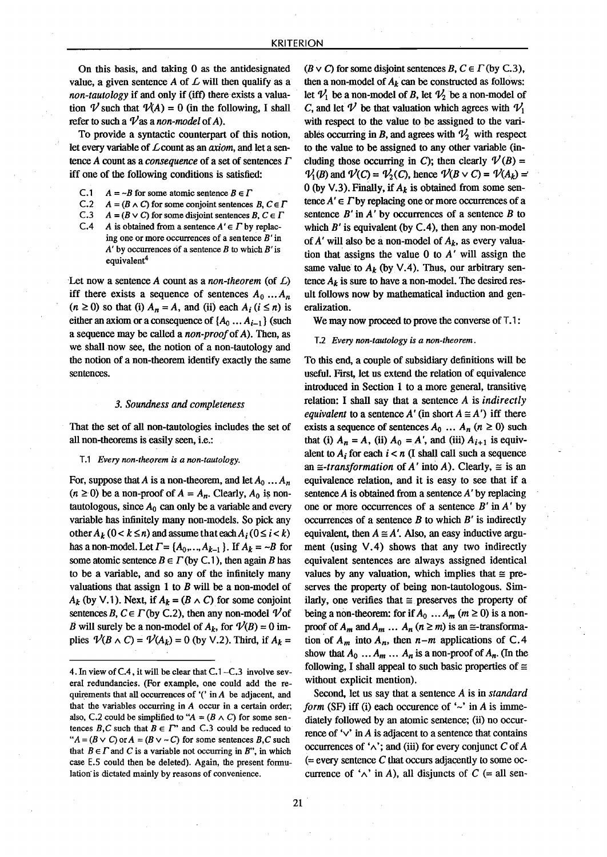On this basis, and taking 0 as the antidesignated value, a given sentence  $A$  of  $L$  will then qualify as a *non-tautology* if and only if (iff) there exists a valuation  $\mathcal V$  such that  $\mathcal V(A) = 0$  (in the following, I shall refer to such a  $\nu$  as a non-model of A).

To provide a syntactic counterpart of this notion, let every variable of Lcount as an *axiom,* and let a sentence *A* count as a *consequence* of a set of sentences  $\Gamma$ iff one of the following conditions is satisfied:

- C.1  $A = -B$  for some atomic sentence  $B \in \Gamma$ <br>C.2  $A = (B \wedge C)$  for some conjoint sentences
- C.2  $A = (B \wedge C)$  for some conjoint sentences  $B, C \in \Gamma$ <br>C.3  $A = (B \vee C)$  for some disjoint sentences  $B, C \in \Gamma$
- C.3  $A = (B \vee C)$  for some disjoint sentences B,  $C \in \Gamma$ <br>C.4 A is obtained from a sentence  $A' \in \Gamma$  by replac-
	- A is obtained from a sentence  $A' \in \Gamma$  by replacing one or more occurrences of a sentence  $B'$  in  $A'$  by occurrences of a sentence B to which B' is equivalent<sup>4</sup>

Let now a sentence *A* count as a *non-theorem* (of *L)* iff there exists a sequence of sentences  $A_0 \dots A_n$  $(n \ge 0)$  so that (i)  $A_n = A$ , and (ii) each  $A_i$  ( $i \le n$ ) is either an axiom or a consequence of  $\{A_0 \dots A_{i-1}\}$  (such a sequence may be called a *non-proof*ofA). Then, as we shall now see, the notion of a non-tautology and the notion of a non-theorem identify exactly the same sentences.

### *3. Soundness anti completeness*

That the set of all non-tautologies includes the set of all non-theorems is easily seen, i.e.:

#### T.l *Every non-theorem is a non-tautology,*

For, suppose that *A* is a non-theorem, and let  $A_0 \ldots A_n$  $(n \ge 0)$  be a non-proof of  $A = A_n$ . Clearly,  $A_0$  is nontautologous, since  $A_0$  can only be a variable and every variable has infinitely many non-models. So pick any other  $A_k$  ( $0 < k \le n$ ) and assume that each  $A_i$  ( $0 \le i < k$ ) has a non-model. Let  $\Gamma = \{A_0, \ldots, A_{k-1}\}\$ . If  $A_k = -B$  for some atomic sentence  $B \in \Gamma$  (by C.1), then again *B* has to be a variable, and so any of the infinitely many valuations that assign 1 to *B* will be a non-model of  $A_k$  (by V.1). Next, if  $A_k = (B \wedge C)$  for some conjoint sentences B,  $C \in \Gamma$  (by C.2), then any non-model  $\mathcal V$  of *B* will surely be a non-model of  $A_k$ , for  $\mathcal{V}(B) = 0$  implies  $\mathcal{V}(B \wedge C) = \mathcal{V}(A_k) = 0$  (by V.2). Third, if  $A_k =$ 

 $(B \vee C)$  for some disjoint sentences B,  $C \in \Gamma$  (by C.3), then a non-model of  $A_k$  can be constructed as follows: let  $V_1$  be a non-model of B, let  $V_2$  be a non-model of C, and let  $\mathcal V$  be that valuation which agrees with  $\mathcal V_1$ with respect to the value to be assigned to the variables occurring in B, and agrees with  $\mathcal{V}_2$  with respect to the value to be assigned to any other variable (including those occurring in C); then clearly  $V(B)$  =  $\mathcal{V}_1(B)$  and  $\mathcal{V}(C) = \mathcal{V}_2(C)$ , hence  $\mathcal{V}(B \vee C) = \mathcal{V}(A_k) = 0$  (by V.3). Finally, if  $A_k$  is obtained from some sentence  $A' \in \Gamma$  by replacing one or more occurrences of a sentence  $B'$  in  $A'$  by occurrences of a sentence  $B$  to which  $B'$  is equivalent (by C.4), then any non-model of  $A'$  will also be a non-model of  $A_k$ , as every valuation that assigns the value  $0$  to  $A'$  will assign the same value to  $A_k$  (by V.4). Thus, our arbitrary sentence  $A_k$  is sure to have a non-model. The desired result follows now by mathematical induction and generalization.

We may now proceed to prove the converse of T.1:

#### T.2 *Every non-tautology is a non-theorem .*

To this end, a couple of subsidiary definitions will be useful. First, let us extend the relation of equivalence introduced in Section 1 to a more general, transitive relation: 1 shall say that a sentence A is *indirectly equivalent* to a sentence *A'* (in short  $A \cong A'$ ) iff there exists a sequence of sentences  $A_0$   $\ldots$   $A_n$  ( $n \ge 0$ ) such that (i)  $A_n = A$ , (ii)  $A_0 = A'$ , and (iii)  $A_{i+1}$  is equivalent to  $A_i$  for each  $i < n$  (I shall call such a sequence an  $\equiv$ -transformation of A' into A). Clearly,  $\equiv$  is an equivalence relation, and it is easy to see that if a sentence  $A$  is obtained from a sentence  $A'$  by replacing one or more occurrences of a sentence  $B'$  in  $A'$  by occurrences of a sentence  $B$  to which  $B'$  is indirectly equivalent, then  $A \cong A'$ . Also, an easy inductive argument (using  $V.4$ ) shows that any two indirectly equivalent sentences are always assigned identical values by any valuation, which implies that  $\equiv$  preserves the property of being non-tautologous. Similarly, one verifies that  $\equiv$  preserves the property of being a non-theorem: for if  $A_0 ... A_m$  ( $m \ge 0$ ) is a nonproof of  $A_m$  and  $A_m$  ...  $A_n$  ( $n \ge m$ ) is an  $\cong$ -transformation of  $A_m$  into  $A_n$ , then  $n-m$  applications of C.4 show that  $A_0$  ...  $A_m$  ...  $A_n$  is a non-proof of  $A_n$ . (In the following, I shall appeal to such basic properties of  $\equiv$ without explicit mention).

Second, let us say that a sentence *A* is in *standard form* (SF) iff (i) each occurence of  $\sim$  in *A* is immediately followed by an atomic sentence; (ii) no occurrence of  $\vee$  in A is adjacent to a sentence that contains occurrences of  $\Delta$ ; and (iii) for every conjunct C of A  $=$  every sentence C that occurs adjacently to some occurrence of  $\Lambda$ <sup>'</sup> in A), all disjuncts of C (= all sen-

<sup>4.</sup> In view of  $C.4$ , it will be clear that  $C.1 - C.3$  involve several redundancies. (For example, one could add the requirements that all occurrences of  $'$  in A be adjacent, and that the variables occurring in *A* occur in a certain order; also, C.2 could be simplified to " $A = (B \wedge C)$  for some sentences B,C such that  $B \in \Gamma$ " and C.3 could be reduced to " $A = (B \vee C)$  or  $A = (B \vee \neg C)$  for some sentences B,C such that  $B \in \Gamma$  and C is a variable not occurring in B", in which case E.5 could then be deleted). Again, the present formulation is dictated mainly by reasons of convenience.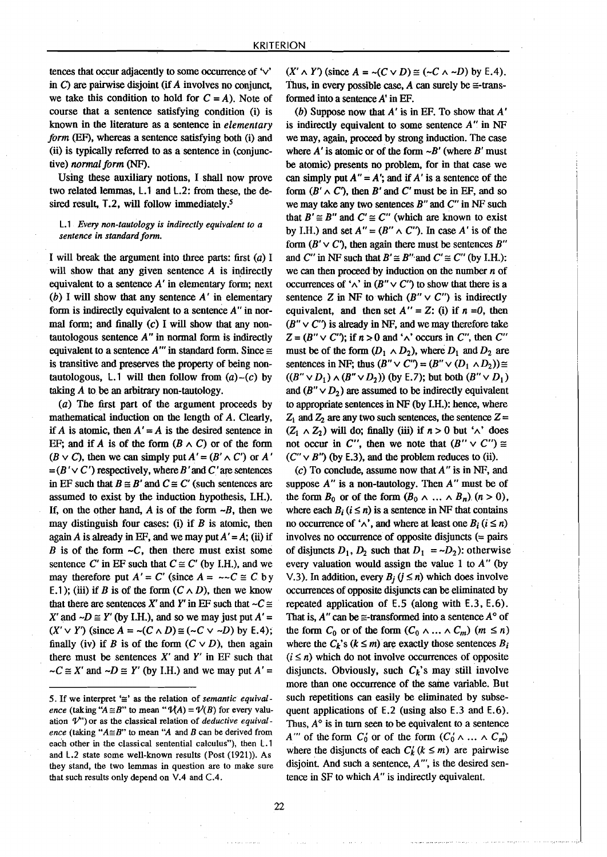tences that occur adjacently to some occurrence of 'v' in C) are pairwise disjoint (if*A* involves no conjunct, we take this condition to hold for  $C = A$ ). Note of course that a sentence satisfying condition (i) is known in the literature as a sentence in *elementary form* (EF), whereas a sentence satisfying both (i) and (ii) is typically referred to as a sentence in (conjunctive) *normal form* (NF).

Using these auxiliary notions. I shall now prove two related lemmas, L.l and L.2: from these, the desired result,  $T<sub>1</sub>2$ , will follow immediately,<sup>5</sup>

# L.l *Every non-tautology is indirectly equivalent to a sentence in standard form.*

I will break the argument into three parts: first  $(a)$  I will show that any given sentence  $A$  is indirectly equivalent to a sentence  $A'$  in elementary form; next (b) I will show that any sentence  $A'$  in elementary form is indirectly equivalent to a sentence *A"* in normal form; and finally  $(c)$  I will show that any nontautologous sentence *A"* in normal form is indirectly equivalent to a sentence  $A''$  in standard form. Since  $\equiv$ is transitive and preserves the property of being nontautologous, L.1 will then follow from  $(a)-(c)$  by taking *A* to be an arbitrary non-tautology.

(a) The first part of the argument proceeds by mathematical induction on the length of A. Clearly, if A is atomic, then  $A' = A$  is the desired sentence in EF; and if A is of the form  $(B \wedge C)$  or of the form  $(B \vee C)$ , then we can simply put  $A' = (B' \wedge C')$  or A'  $=(B' \vee C')$  respectively, where B' and C' are sentences in EF such that  $B \cong B'$  and  $C \cong C'$  (such sentences are assumed to exist by the induction hypothesis, I.H.). If, on the other hand,  $\vec{A}$  is of the form  $\neg B$ , then we may distinguish four cases: (i) if  $B$  is atomic, then again A is already in EF, and we may put  $A' = A$ ; (ii) if *B* is of the form  $\neg C$ , then there must exist some sentence C' in EF such that  $C \cong C'$  (by I.H.), and we may therefore put  $A' = C'$  (since  $A = -C \cong C$  by E.1); (iii) if B is of the form  $(C \wedge D)$ , then we know that there are sentences X' and Y' in EF such that  $\neg C \cong$ X' and  $\neg D \cong Y'$  (by I.H.), and so we may just put  $A' =$  $(X' \vee Y')$  (since  $A = \neg(C \wedge D) \cong (\neg C \vee \neg D)$  by E.4); finally (iv) if B is of the form  $(C \vee D)$ , then again there must be sentences  $X'$  and  $Y'$  in EF such that  $-C \cong X'$  and  $-D \cong Y'$  (by I.H.) and we may put  $A' =$ 

 $(X' \wedge Y')$  (since  $A = \neg(C \vee D) \cong (\neg C \wedge \neg D)$  by E.4). Thus, in every possible case, A can surely be  $\equiv$ -transformed into a sentence  $A'$  in EF.

(b) Suppose now that  $A'$  is in EF. To show that  $A'$ is indirectly equivalent to some sentence *A"* in NF we may, again, proceed by strong induction. The case where  $A'$  is atomic or of the form  $\neg B'$  (where  $B'$  must be atomic) presents no problem, for in that case we can simply put  $A'' = A'$ ; and if A' is a sentence of the form  $(B' \wedge C')$ , then B' and C' must be in EF, and so we may take any two sentences  $B''$  and  $C''$  in NF such that  $B' \cong B''$  and  $C' \cong C''$  (which are known to exist by I.H.) and set  $A'' = (B'' \wedge C'')$ . In case A' is of the form  $(B' \vee C')$ , then again there must be sentences B" and C'' in NF such that  $B' \cong B''$  and  $C' \cong C''$  (by I.H.): we can then proceed by induction on the number  $n$  of occurrences of ' $\wedge$ ' in (B"  $\vee$  C") to show that there is a sentence Z in NF to which  $(B'' \vee C'')$  is indirectly equivalent, and then set  $A'' = Z$ : (i) if  $n = 0$ , then  $(B'' \vee C')$  is already in NF, and we may therefore take  $Z = (B'' \vee C'')$ ; if  $n > 0$  and ' $\wedge$ ' occurs in C'', then C'' must be of the form  $(D_1 \wedge D_2)$ , where  $D_1$  and  $D_2$  are sentences in NF; thus  $(B'' \vee C'') = (B'' \vee (D_1 \wedge D_2)) \cong$  $((B'' \vee D_1) \wedge (B'' \vee D_2))$  (by E.7); but both  $(B'' \vee D_1)$ and  $(B'' \vee D_2)$  are assumed to be indirectly equivalent to appropriate sentences in NF (by I.H.): hence, where  $Z_1$  and  $Z_2$  are any two such sentences, the sentence  $Z =$  $(Z_1 \wedge Z_2)$  will do; finally (iii) if  $n > 0$  but ' $\wedge$ ' does not occur in C'', then we note that  $(B'' \vee C'') \cong$  $(C'' \vee B'')$  (by E.3), and the problem reduces to (ii).

 $(c)$  To conclude, assume now that  $A''$  is in NF, and suppose *A"* is a non-tautology. Then *A"* must be of the form  $B_0$  or of the form  $(B_0 \wedge ... \wedge B_n)$   $(n > 0)$ , where each  $B_i$  ( $i \le n$ ) is a sentence in NF that contains no occurrence of ' $\land$ ', and where at least one *B<sub>i</sub>* ( $i \le n$ ) involves no occurrence of opposite disjuncts (= pairs of disjuncts  $D_1$ ,  $D_2$  such that  $D_1 = D_2$ ; otherwise every valuation would assign tbe value 1 to *A"* (by V.3). In addition, every  $B_i$  ( $j \leq n$ ) which does involve occurrences of opposite disjuncts can be eliminated by repeated application of E.5 (along with E.3, E.6). That is,  $A''$  can be  $\equiv$ -transformed into a sentence  $A^{\circ}$  of the form  $C_0$  or of the form  $(C_0 \wedge ... \wedge C_m)$   $(m \leq n)$ where the  $C_k$ 's  $(k \le m)$  are exactly those sentences  $B_i$  $(i \leq n)$  which do not involve occurrences of opposite disjuncts. Obviously, such  $C_k$ 's may still involve more than one occurrence of the same variable. But such repetitions can easily be eliminated by subsequent applications of E.2 (using also E.3 and E.6). Thus,  $A^{\circ}$  is in turn seen to be equivalent to a sentence A''' of the form  $C_0'$  or of the form  $(C_0' \wedge \dots \wedge C_m')$ where the disjuncts of each  $C_k$  ( $k \le m$ ) are pairwise disjoint, And such a sentence, *A '",* is the desired sentence in SF to which *A"* is indirectly equivalent.

<sup>5.</sup> If we interpret  $\cong$  as the relation of *semantic equivalence* (taking " $A \cong B$ " to mean " $\mathcal{V}(A) = \mathcal{V}(B)$  for every valuation  $\mathcal{V}$ " or as the classical relation of *deductive equivalence* (taking " $A \cong B$ " to mean "A and B can be derived from each other in the classical sentential calculus"), then L.1 and L.2 state some well-known results (Post (1921». As they stand, the two lemmas in question are to make sure that such results only depend on V.4 and C.4.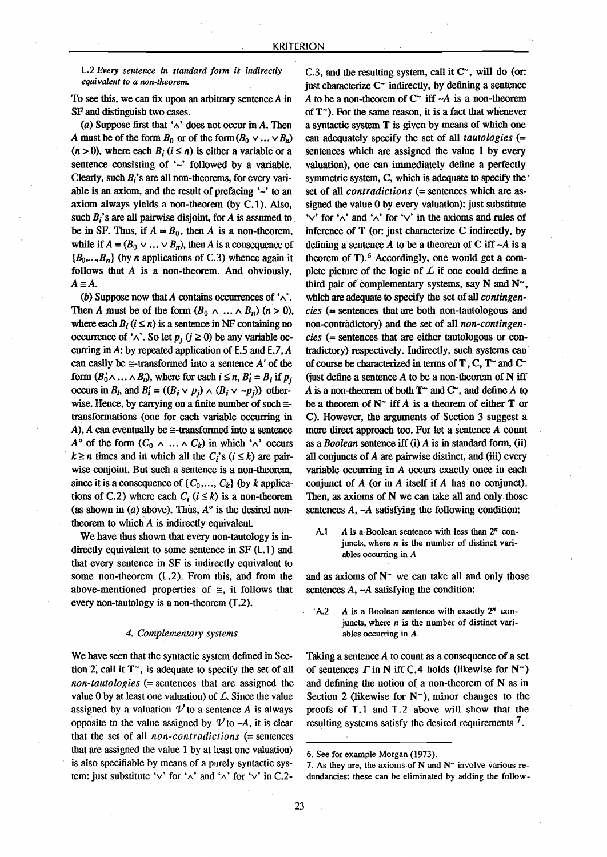# l.2 *Every sentence in standard form is indirectly equivalent to a non-theorem.*

To see this, we can fix upon an arbitrary sentence  $A$  in SF and distinguish two cases.

(a) Suppose first that  $\land$  does not occur in A. Then A must be of the form  $B_0$  or of the form  $(B_0 \vee ... \vee B_n)$  $(n > 0)$ , where each  $B_i$  ( $i \le n$ ) is either a variable or a sentence consisting of  $\sim$  followed by a variable. Clearly, such*B;'s* are all non-theorems, for every variable is an axiom, and the result of prefacing  $\sim$  to an axiom always yields a non-theorem (by C.1). Also, such  $B_i$ 's are all pairwise disjoint, for  $A$  is assumed to be in SF. Thus, if  $A = B_0$ , then *A* is a non-theorem, while if  $A = (B_0 \vee \dots \vee B_n)$ , then A is a consequence of  ${B_0, \ldots, B_n}$  (by *n* applications of C.3) whence again it follows that A is a non-theorem. And obviously, *A=A.*

(b) Suppose now that A contains occurrences of  $\lambda$ . Then *A* must be of the form  $(B_0 \land ... \land B_n)$  (n > 0), where each  $B_i$  ( $i \le n$ ) is a sentence in NF containing no occurrence of ' $\wedge$ '. So let  $p_i$  ( $j \ge 0$ ) be any variable occurring in A: by repeated application of  $E.5$  and  $E.7$ , A can easily be  $\equiv$ -transformed into a sentence A' of the form  $(B_0'\wedge\ldots\wedge B_n')$ , where for each  $i \leq n$ ,  $B_i' = B_i$  if  $p_i$ occurs in  $B_i$ , and  $B'_i = ((B_i \vee p_i) \wedge (B_i \vee \neg p_i))$  otherwise. Hence, by carrying on a finite number of such  $\equiv$ transformations (one for each variable occurring in A), A can eventually be  $\equiv$ -transformed into a sentence  $A^{\circ}$  of the form  $(C_0 \land ... \land C_k)$  in which ' $\land$ ' occurs  $k \ge n$  times and in which all the  $C_i$ 's  $(i \le k)$  are pairwise conjoint. But such a sentence is a non-theorem, since it is a consequence of  $\{C_0, \ldots, C_k\}$  (by *k* applications of C.2) where each  $C_i$  ( $i \leq k$ ) is a non-theorem (as shown in (a) above). Thus,  $A^{\circ}$  is the desired nontheorem to which*A* is indirectly equivalent,

We have thus shown that every non-tautology is indirectly equivalent to some sentence in SF (L.1) and that every sentence in SF is indirectly equivalent to some non-theorem (L.2). From this, and from the above-mentioned properties of  $\equiv$ , it follows that every non-tautology is a non-theorem (T.2).

#### *4. Complementary systems*

We have seen that the syntactic system defined in Section 2, call it  $T^*$ , is adequate to specify the set of all *non-tautologies* (= sentences that are assigned the value 0 by at least one valuation) of  $\mathcal{L}$ . Since the value assigned by a valuation  $\mathcal V$  to a sentence A is always opposite to the value assigned by  $\mathcal{V}$  to  $\neg A$ , it is clear that the set of all *non-eontradietions* (= sentences that are assigned the value 1 by at least one valuation) is also specifiable by means of a purely syntactic system: just substitute ' $\vee$ ' for ' $\wedge$ ' and ' $\wedge$ ' for ' $\vee$ ' in C.2-

C.3, and the resulting system, call it  $C^*$ , will do (or: just characterize  $C^-$  indirectly, by defining a sentence *A* to be a non-theorem of  $C^*$  iff  $\neg A$  is a non-theorem of  $T<sup>th</sup>$ ). For the same reason, it is a fact that whenever a syntaetic system T is given by means of which one can adequately specify the set of all *tautologies* (= sentences which are assigned the value 1 by every valuation), one can immediately define a perfectly symmetric system, C, which is adequate to specify the set of all *eontradietions* (= sentences which are assigned the value 0 by every valuation): just substitute ' $\vee$ ' for ' $\wedge$ ' and ' $\wedge$ ' for ' $\vee$ ' in the axioms and rules of inference of T (or: just characterize C indirectly, by defining a sentence*A* to be a theorem of C iff *-A* is a theorem of  $T$ ). <sup>6</sup> Accordingly, one would get a complete picture of the logic of  $\mathcal L$  if one could define a third pair of complementary systems, say  $N$  and  $N^*$ , which are adequate to specify the set of all *contingeneies* (= sentences that are both non-tautologous and non-contradictory) and the set of all *non-contingeneies* (= sentences that are either tautologous or contradictory) respectively. Indirectly, such systems can of course be characterized in terms of T, C,  $T^{\sim}$  and  $C^{\sim}$ (just define a sentence  $A$  to be a non-theorem of  $N$  iff *A* is a non-theorem of both  $T^{\sim}$  and  $C^{\sim}$ , and define *A* to be a theorem of  $N^{\sim}$  iff A is a theorem of either **T** or C). However, the arguments of Section 3 suggest a more direct approach too. For let a sentence*A* count as a *Boolean* sentence iff (i) A is in standard form, (ii) all conjuncts of  $A$  are pairwise distinct, and (iii) every variable occurring in  $A$  occurs exactly once in each conjunct of *A* (or in *A* itself if *A* has no conjunct). Then, as axioms of N we can take all and only those sentences  $A$ ,  $\neg A$  satisfying the following condition:

A.l *A* is a Boolean sentence with less than *2n* conjuncts, where  $n$  is the number of distinct variables occurring in *A*

and as axioms of  $N^{\sim}$  we can take all and only those sentences  $A$ ,  $\neg A$  satisfying the condition:

.A.2 *A* is a Boolean sentence with exactly *2n* conjuncts, where *n* is the number of distinct variables occurring in A

Taking a sentence  $A$  to count as a consequence of a set of sentences  $\Gamma$  in N iff C.4 holds (likewise for N<sup>-</sup>) and defining the notion of a non-theorem of N as in Section 2 (likewise for  $N^{\sim}$ ), minor changes to the proofs of T. 1 and T. 2 above will show that the resulting systems satisfy the desired requirements 7.

<sup>6.</sup> See for example Morgan (1973).

<sup>7.</sup> As they are, the axioms of  $N$  and  $N<sup>-</sup>$  involve various redundancies: these can be eliminated by adding the follow-